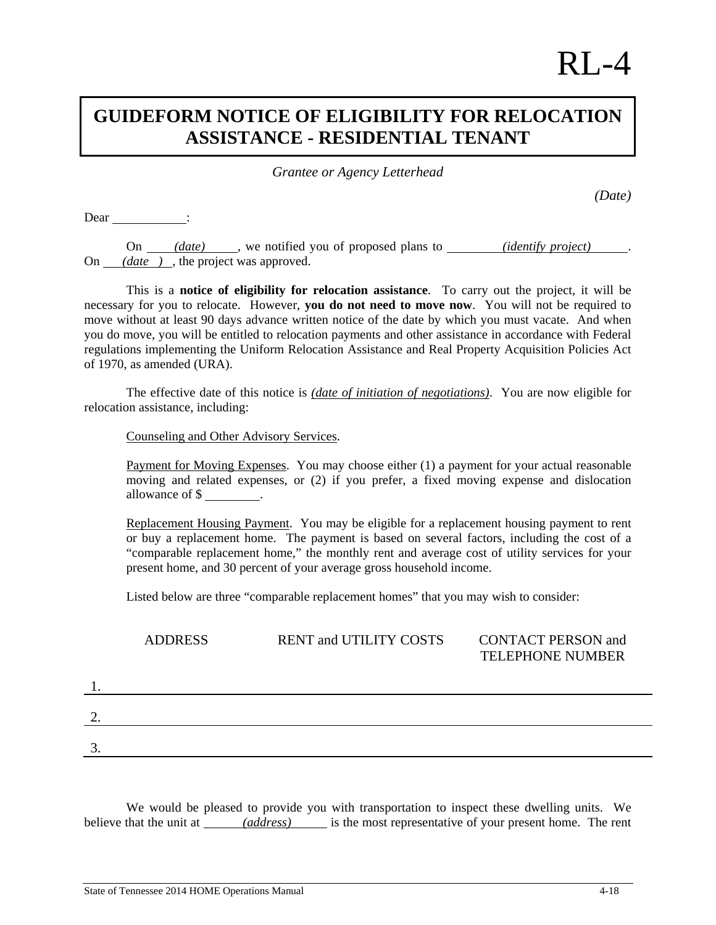## $RI -4$

## **GUIDEFORM NOTICE OF ELIGIBILITY FOR RELOCATION ASSISTANCE - RESIDENTIAL TENANT**

*Grantee or Agency Letterhead* 

*(Date)* 

Dear :

On *(date)* , we notified you of proposed plans to *(identify project)* On *(date )* , the project was approved.

 This is a **notice of eligibility for relocation assistance**. To carry out the project, it will be necessary for you to relocate. However, **you do not need to move now**. You will not be required to move without at least 90 days advance written notice of the date by which you must vacate. And when you do move, you will be entitled to relocation payments and other assistance in accordance with Federal regulations implementing the Uniform Relocation Assistance and Real Property Acquisition Policies Act of 1970, as amended (URA).

The effective date of this notice is *(date of initiation of negotiations)*. You are now eligible for relocation assistance, including:

Counseling and Other Advisory Services.

Payment for Moving Expenses. You may choose either (1) a payment for your actual reasonable moving and related expenses, or (2) if you prefer, a fixed moving expense and dislocation allowance of \$ .

 Replacement Housing Payment. You may be eligible for a replacement housing payment to rent or buy a replacement home. The payment is based on several factors, including the cost of a "comparable replacement home," the monthly rent and average cost of utility services for your present home, and 30 percent of your average gross household income.

Listed below are three "comparable replacement homes" that you may wish to consider:

|    | <b>ADDRESS</b> | <b>RENT and UTILITY COSTS</b> | <b>CONTACT PERSON and</b><br><b>TELEPHONE NUMBER</b> |
|----|----------------|-------------------------------|------------------------------------------------------|
| 1. |                |                               |                                                      |
| 2. |                |                               |                                                      |
| 3. |                |                               |                                                      |
|    |                |                               |                                                      |

 We would be pleased to provide you with transportation to inspect these dwelling units. We believe that the unit at *(address)* is the most representative of your present home. The rent